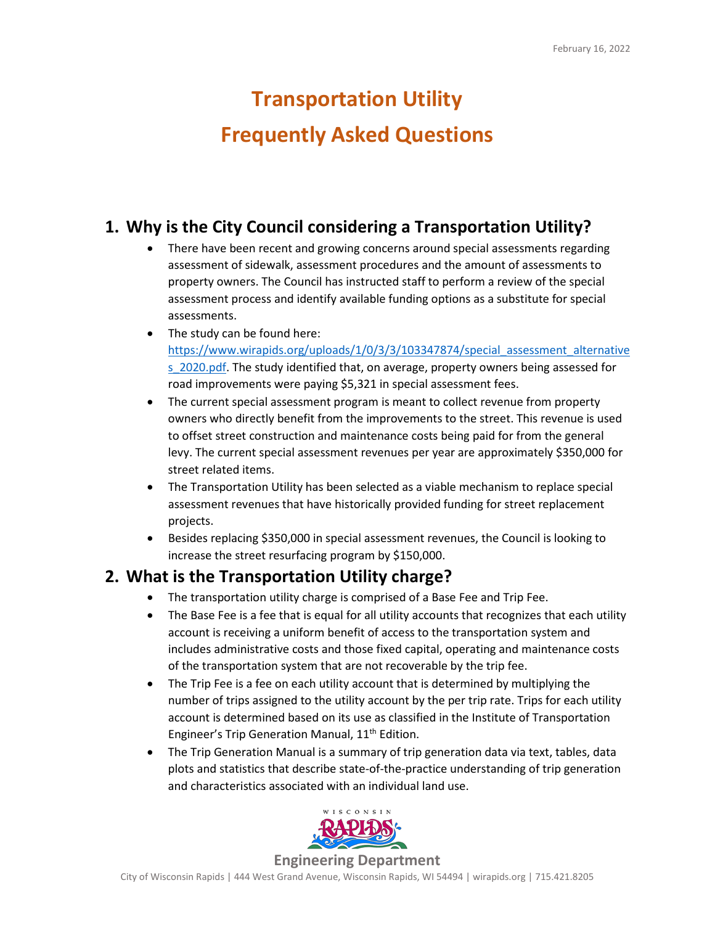# **Transportation Utility Frequently Asked Questions**

#### **1. Why is the City Council considering a Transportation Utility?**

- There have been recent and growing concerns around special assessments regarding assessment of sidewalk, assessment procedures and the amount of assessments to property owners. The Council has instructed staff to perform a review of the special assessment process and identify available funding options as a substitute for special assessments.
- The study can be found here: [https://www.wirapids.org/uploads/1/0/3/3/103347874/special\\_assessment\\_alternative](https://www.wirapids.org/uploads/1/0/3/3/103347874/special_assessment_alternatives_2020.pdf) s 2020.pdf. The study identified that, on average, property owners being assessed for road improvements were paying \$5,321 in special assessment fees.
- The current special assessment program is meant to collect revenue from property owners who directly benefit from the improvements to the street. This revenue is used to offset street construction and maintenance costs being paid for from the general levy. The current special assessment revenues per year are approximately \$350,000 for street related items.
- The Transportation Utility has been selected as a viable mechanism to replace special assessment revenues that have historically provided funding for street replacement projects.
- Besides replacing \$350,000 in special assessment revenues, the Council is looking to increase the street resurfacing program by \$150,000.

#### **2. What is the Transportation Utility charge?**

- The transportation utility charge is comprised of a Base Fee and Trip Fee.
- The Base Fee is a fee that is equal for all utility accounts that recognizes that each utility account is receiving a uniform benefit of access to the transportation system and includes administrative costs and those fixed capital, operating and maintenance costs of the transportation system that are not recoverable by the trip fee.
- The Trip Fee is a fee on each utility account that is determined by multiplying the number of trips assigned to the utility account by the per trip rate. Trips for each utility account is determined based on its use as classified in the Institute of Transportation Engineer's Trip Generation Manual, 11<sup>th</sup> Edition.
- The Trip Generation Manual is a summary of trip generation data via text, tables, data plots and statistics that describe state-of-the-practice understanding of trip generation and characteristics associated with an individual land use.